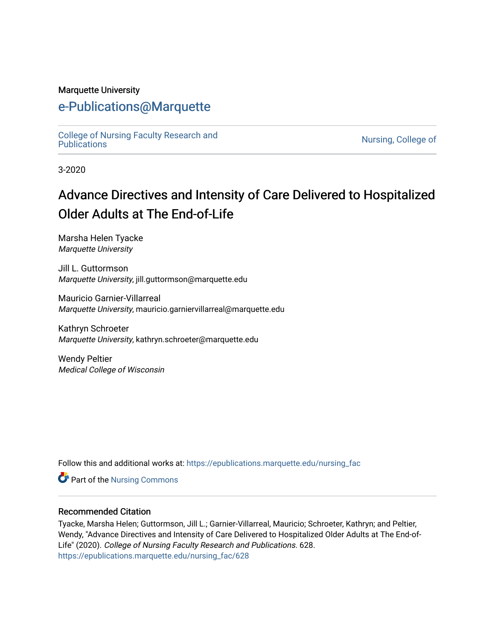#### Marquette University

# [e-Publications@Marquette](https://epublications.marquette.edu/)

[College of Nursing Faculty Research and](https://epublications.marquette.edu/nursing_fac)<br>Publications

Nursing, College of

3-2020

# Advance Directives and Intensity of Care Delivered to Hospitalized Older Adults at The End-of-Life

Marsha Helen Tyacke Marquette University

Jill L. Guttormson Marquette University, jill.guttormson@marquette.edu

Mauricio Garnier-Villarreal Marquette University, mauricio.garniervillarreal@marquette.edu

Kathryn Schroeter Marquette University, kathryn.schroeter@marquette.edu

Wendy Peltier Medical College of Wisconsin

Follow this and additional works at: [https://epublications.marquette.edu/nursing\\_fac](https://epublications.marquette.edu/nursing_fac?utm_source=epublications.marquette.edu%2Fnursing_fac%2F628&utm_medium=PDF&utm_campaign=PDFCoverPages)

Part of the [Nursing Commons](http://network.bepress.com/hgg/discipline/718?utm_source=epublications.marquette.edu%2Fnursing_fac%2F628&utm_medium=PDF&utm_campaign=PDFCoverPages) 

#### Recommended Citation

Tyacke, Marsha Helen; Guttormson, Jill L.; Garnier-Villarreal, Mauricio; Schroeter, Kathryn; and Peltier, Wendy, "Advance Directives and Intensity of Care Delivered to Hospitalized Older Adults at The End-of-Life" (2020). College of Nursing Faculty Research and Publications. 628. [https://epublications.marquette.edu/nursing\\_fac/628](https://epublications.marquette.edu/nursing_fac/628?utm_source=epublications.marquette.edu%2Fnursing_fac%2F628&utm_medium=PDF&utm_campaign=PDFCoverPages)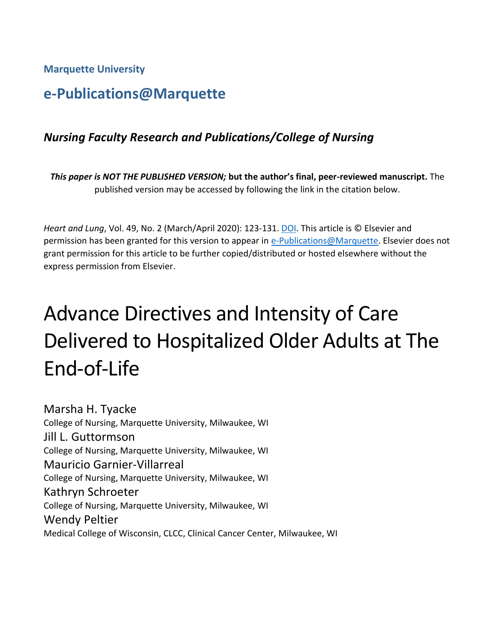**Marquette University**

# **e-Publications@Marquette**

# *Nursing Faculty Research and Publications/College of Nursing*

*This paper is NOT THE PUBLISHED VERSION;* **but the author's final, peer-reviewed manuscript.** The published version may be accessed by following the link in the citation below.

*Heart and Lung*, Vol. 49, No. 2 (March/April 2020): 123-131. [DOI.](https://doi.org/10.1016/j.hrtlng.2019.08.018) This article is © Elsevier and permission has been granted for this version to appear in [e-Publications@Marquette.](http://epublications.marquette.edu/) Elsevier does not grant permission for this article to be further copied/distributed or hosted elsewhere without the express permission from Elsevier.

# Advance Directives and Intensity of Care Delivered to Hospitalized Older Adults at The End-of-Life

Marsha H. Tyacke College of Nursing, Marquette University, Milwaukee, WI Jill L. Guttormson College of Nursing, Marquette University, Milwaukee, WI Mauricio Garnier-Villarreal College of Nursing, Marquette University, Milwaukee, WI Kathryn Schroeter College of Nursing, Marquette University, Milwaukee, WI Wendy Peltier Medical College of Wisconsin, CLCC, Clinical Cancer Center, Milwaukee, WI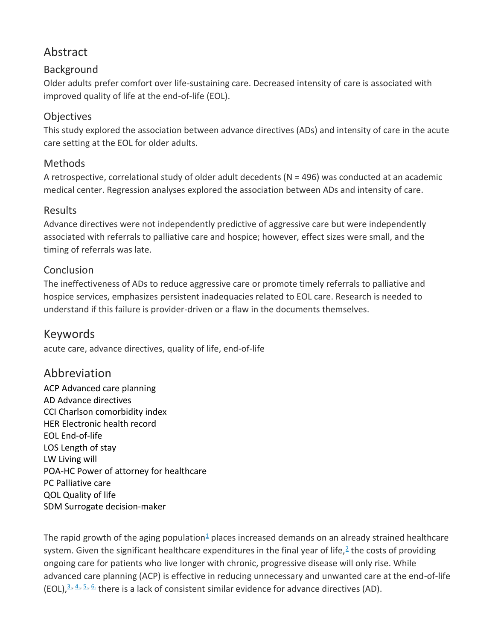# Abstract

#### Background

Older adults prefer comfort over life-sustaining care. Decreased intensity of care is associated with improved quality of life at the end-of-life (EOL).

#### **Objectives**

This study explored the association between advance directives (ADs) and intensity of care in the acute care setting at the EOL for older adults.

#### Methods

A retrospective, correlational study of older adult decedents (N = 496) was conducted at an academic medical center. Regression analyses explored the association between ADs and intensity of care.

#### Results

Advance directives were not independently predictive of aggressive care but were independently associated with referrals to palliative care and hospice; however, effect sizes were small, and the timing of referrals was late.

#### Conclusion

The ineffectiveness of ADs to reduce aggressive care or promote timely referrals to palliative and hospice services, emphasizes persistent inadequacies related to EOL care. Research is needed to understand if this failure is provider-driven or a flaw in the documents themselves.

#### Keywords

acute care, advance directives, quality of life, end-of-life

#### Abbreviation

ACP Advanced care planning AD Advance directives CCI Charlson comorbidity index HER Electronic health record EOL End-of-life LOS Length of stay LW Living will POA-HC Power of attorney for healthcare PC Palliative care QOL Quality of life SDM Surrogate decision-maker

The rapid growth of the aging population $\frac{1}{2}$  $\frac{1}{2}$  $\frac{1}{2}$  places increased demands on an already strained healthcare system. Given the significant healthcare expenditures in the final year of life,<sup>[2](https://www.sciencedirect.com/science/article/pii/S0147956319304844?via%3Dihub#bib0002)</sup> the costs of providing ongoing care for patients who live longer with chronic, progressive disease will only rise. While advanced care planning (ACP) is effective in reducing unnecessary and unwanted care at the end-of-life  $(EOL)<sup>3</sup>$ ,  $4$ ,  $5$ ,  $6$ , there is a lack of consistent similar evidence for advance directives (AD).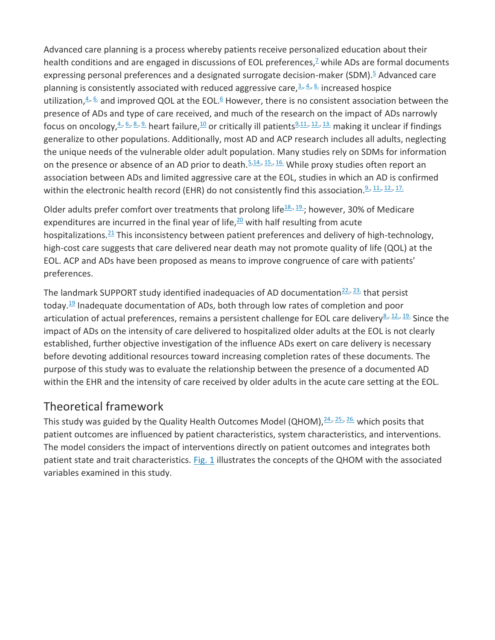Advanced care planning is a process whereby patients receive personalized education about their health conditions and are engaged in discussions of EOL preferences, $<sup>2</sup>$  while ADs are formal documents</sup> expressing personal preferences and a designated surrogate decision-maker (SDM).<sup>[5](https://www.sciencedirect.com/science/article/pii/S0147956319304844?via%3Dihub#bib0005)</sup> Advanced care planning is consistently associated with reduced aggressive care,  $3.4.66$  increased hospice utilization, $4.6.$  $4.6.$  and improved QOL at the EOL.<sup>[6](https://www.sciencedirect.com/science/article/pii/S0147956319304844?via%3Dihub#bib0006)</sup> However, there is no consistent association between the presence of ADs and type of care received, and much of the research on the impact of ADs narrowly focus on oncology,  $4.6$ ,  $6.8$ ,  $9.6$  $9.6$  heart failure,  $10$  or critically ill patients  $9.11$  $9.11$ ,  $12.713$  making it unclear if findings generalize to other populations. Additionally, most AD and ACP research includes all adults, neglecting the unique needs of the vulnerable older adult population. Many studies rely on SDMs for information on the presence or absence of an AD prior to death.  $5,14, 15, 16$  $5,14, 15, 16$ . While proxy studies often report an association between ADs and limited aggressive care at the EOL, studies in which an AD is confirmed within the electronic health record (EHR) do not consistently find this association.<sup>[9.,](https://www.sciencedirect.com/science/article/pii/S0147956319304844?via%3Dihub#bib0009) 11.</sup>, <sup>[12.,](https://www.sciencedirect.com/science/article/pii/S0147956319304844?via%3Dihub#bib0012) [17.](https://www.sciencedirect.com/science/article/pii/S0147956319304844?via%3Dihub#bib0017)</sup>

Older adults prefer comfort over treatments that prolong life<sup>[18.,](https://www.sciencedirect.com/science/article/pii/S0147956319304844?via%3Dihub#bib0018) 19</sup>.; however, 30% of Medicare expenditures are incurred in the final year of life, $20$  with half resulting from acute hospitalizations. $21$  This inconsistency between patient preferences and delivery of high-technology, high-cost care suggests that care delivered near death may not promote quality of life (QOL) at the EOL. ACP and ADs have been proposed as means to improve congruence of care with patients' preferences.

The landmark SUPPORT study identified inadequacies of AD documentation $\frac{22}{3}$  that persist today. $19$  Inadequate documentation of ADs, both through low rates of completion and poor articulation of actual preferences, remains a persistent challenge for EOL care delivery<sup>[8.,](https://www.sciencedirect.com/science/article/pii/S0147956319304844?via%3Dihub#bib0008) [12.,](https://www.sciencedirect.com/science/article/pii/S0147956319304844?via%3Dihub#bib0012) [19.](https://www.sciencedirect.com/science/article/pii/S0147956319304844?via%3Dihub#bib0019)</sup> Since the impact of ADs on the intensity of care delivered to hospitalized older adults at the EOL is not clearly established, further objective investigation of the influence ADs exert on care delivery is necessary before devoting additional resources toward increasing completion rates of these documents. The purpose of this study was to evaluate the relationship between the presence of a documented AD within the EHR and the intensity of care received by older adults in the acute care setting at the EOL.

# Theoretical framework

This study was guided by the Quality Health Outcomes Model (QHOM),  $\frac{24}{3}$ ,  $\frac{25}{3}$  which posits that patient outcomes are influenced by patient characteristics, system characteristics, and interventions. The model considers the impact of interventions directly on patient outcomes and integrates both patient state and trait characteristics. [Fig. 1](https://www.sciencedirect.com/science/article/pii/S0147956319304844?via%3Dihub#fig0001) illustrates the concepts of the QHOM with the associated variables examined in this study.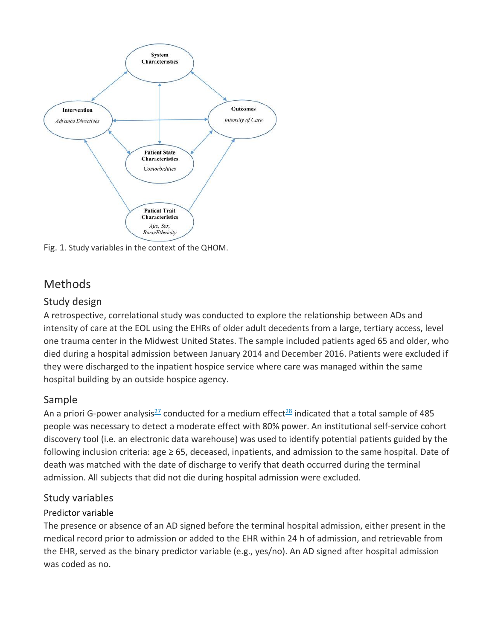

Fig. 1. Study variables in the context of the QHOM.

# Methods

#### Study design

A retrospective, correlational study was conducted to explore the relationship between ADs and intensity of care at the EOL using the EHRs of older adult decedents from a large, tertiary access, level one trauma center in the Midwest United States. The sample included patients aged 65 and older, who died during a hospital admission between January 2014 and December 2016. Patients were excluded if they were discharged to the inpatient hospice service where care was managed within the same hospital building by an outside hospice agency.

#### Sample

An a priori G-power analysis<sup>[27](https://www.sciencedirect.com/science/article/pii/S0147956319304844?via%3Dihub#bib0027)</sup> conducted for a medium effect<sup>[28](https://www.sciencedirect.com/science/article/pii/S0147956319304844?via%3Dihub#bib0028)</sup> indicated that a total sample of 485 people was necessary to detect a moderate effect with 80% power. An institutional self-service cohort discovery tool (i.e. an electronic data warehouse) was used to identify potential patients guided by the following inclusion criteria: age ≥ 65, deceased, inpatients, and admission to the same hospital. Date of death was matched with the date of discharge to verify that death occurred during the terminal admission. All subjects that did not die during hospital admission were excluded.

#### Study variables

#### Predictor variable

The presence or absence of an AD signed before the terminal hospital admission, either present in the medical record prior to admission or added to the EHR within 24 h of admission, and retrievable from the EHR, served as the binary predictor variable (e.g., yes/no). An AD signed after hospital admission was coded as no.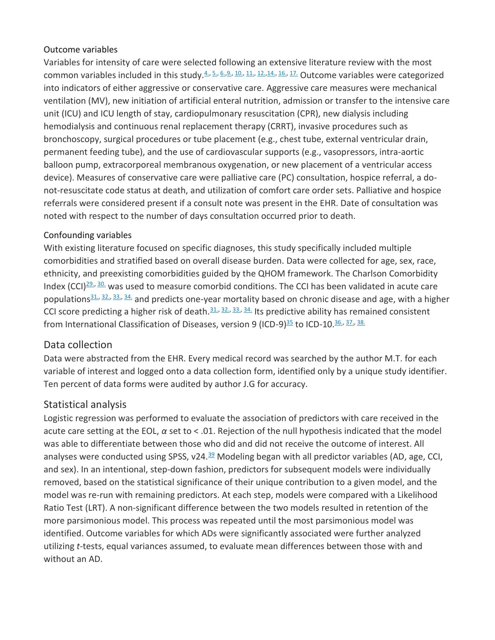#### Outcome variables

Variables for intensity of care were selected following an extensive literature review with the most common variables included in this study.[4.,](https://www.sciencedirect.com/science/article/pii/S0147956319304844?via%3Dihub#bib0004) [5.,](https://www.sciencedirect.com/science/article/pii/S0147956319304844?via%3Dihub#bib0005) [6.,](https://www.sciencedirect.com/science/article/pii/S0147956319304844?via%3Dihub#bib0006)[9.,](https://www.sciencedirect.com/science/article/pii/S0147956319304844?via%3Dihub#bib0009) [10.,](https://www.sciencedirect.com/science/article/pii/S0147956319304844?via%3Dihub#bib0010) [11.,](https://www.sciencedirect.com/science/article/pii/S0147956319304844?via%3Dihub#bib0011) [12.,](https://www.sciencedirect.com/science/article/pii/S0147956319304844?via%3Dihub#bib0012)[14.,](https://www.sciencedirect.com/science/article/pii/S0147956319304844?via%3Dihub#bib0014) [16.,](https://www.sciencedirect.com/science/article/pii/S0147956319304844?via%3Dihub#bib0016) [17.](https://www.sciencedirect.com/science/article/pii/S0147956319304844?via%3Dihub#bib0017) Outcome variables were categorized into indicators of either aggressive or conservative care. Aggressive care measures were mechanical ventilation (MV), new initiation of artificial enteral nutrition, admission or transfer to the intensive care unit (ICU) and ICU length of stay, cardiopulmonary resuscitation (CPR), new dialysis including hemodialysis and continuous renal replacement therapy (CRRT), invasive procedures such as bronchoscopy, surgical procedures or tube placement (e.g., chest tube, external ventricular drain, permanent feeding tube), and the use of cardiovascular supports (e.g., vasopressors, intra-aortic balloon pump, extracorporeal membranous oxygenation, or new placement of a ventricular access device). Measures of conservative care were palliative care (PC) consultation, hospice referral, a donot-resuscitate code status at death, and utilization of comfort care order sets. Palliative and hospice referrals were considered present if a consult note was present in the EHR. Date of consultation was noted with respect to the number of days consultation occurred prior to death.

#### Confounding variables

With existing literature focused on specific diagnoses, this study specifically included multiple comorbidities and stratified based on overall disease burden. Data were collected for age, sex, race, ethnicity, and preexisting comorbidities guided by the QHOM framework. The Charlson Comorbidity Index (CCI) $29.$ ,  $30.$  was used to measure comorbid conditions. The CCI has been validated in acute care populations $\frac{31}{10}$ ,  $\frac{32}{10}$ ,  $\frac{33}{10}$ ,  $\frac{34}{10}$  and predicts one-year mortality based on chronic disease and age, with a higher CCI score predicting a higher risk of death. $31.$ ,  $32.$ ,  $33.$ ,  $34.$  Its predictive ability has remained consistent from International Classification of Diseases, version 9 (ICD-9)<sup>[35](https://www.sciencedirect.com/science/article/pii/S0147956319304844?via%3Dihub#bib0035)</sup> to ICD-10.<sup>[36.,](https://www.sciencedirect.com/science/article/pii/S0147956319304844?via%3Dihub#bib0036) [37.,](https://www.sciencedirect.com/science/article/pii/S0147956319304844?via%3Dihub#bib0037) [38.](https://www.sciencedirect.com/science/article/pii/S0147956319304844?via%3Dihub#bib0038)</sup>

#### Data collection

Data were abstracted from the EHR. Every medical record was searched by the author M.T. for each variable of interest and logged onto a data collection form, identified only by a unique study identifier. Ten percent of data forms were audited by author J.G for accuracy.

#### Statistical analysis

Logistic regression was performed to evaluate the association of predictors with care received in the acute care setting at the EOL, *α* set to < .01. Rejection of the null hypothesis indicated that the model was able to differentiate between those who did and did not receive the outcome of interest. All analyses were conducted using SPSS, v24.<sup>[39](https://www.sciencedirect.com/science/article/pii/S0147956319304844?via%3Dihub#bib0039)</sup> Modeling began with all predictor variables (AD, age, CCI, and sex). In an intentional, step-down fashion, predictors for subsequent models were individually removed, based on the statistical significance of their unique contribution to a given model, and the model was re-run with remaining predictors. At each step, models were compared with a Likelihood Ratio Test (LRT). A non-significant difference between the two models resulted in retention of the more parsimonious model. This process was repeated until the most parsimonious model was identified. Outcome variables for which ADs were significantly associated were further analyzed utilizing *t*-tests, equal variances assumed, to evaluate mean differences between those with and without an AD.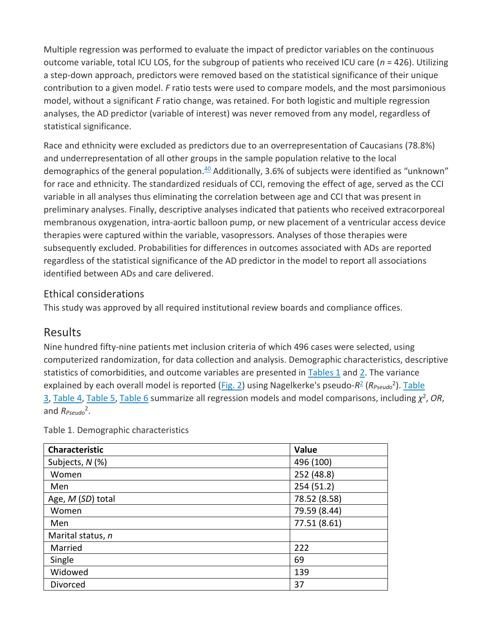Multiple regression was performed to evaluate the impact of predictor variables on the continuous outcome variable, total ICU LOS, for the subgroup of patients who received ICU care (*n* = 426). Utilizing a step-down approach, predictors were removed based on the statistical significance of their unique contribution to a given model. *F* ratio tests were used to compare models, and the most parsimonious model, without a significant *F* ratio change, was retained. For both logistic and multiple regression analyses, the AD predictor (variable of interest) was never removed from any model, regardless of statistical significance.

Race and ethnicity were excluded as predictors due to an overrepresentation of Caucasians (78.8%) and underrepresentation of all other groups in the sample population relative to the local demographics of the general population. $40$  Additionally, 3.6% of subjects were identified as "unknown" for race and ethnicity. The standardized residuals of CCI, removing the effect of age, served as the CCI variable in all analyses thus eliminating the correlation between age and CCI that was present in preliminary analyses. Finally, descriptive analyses indicated that patients who received extracorporeal membranous oxygenation, intra-aortic balloon pump, or new placement of a ventricular access device therapies were captured within the variable, vasopressors. Analyses of those therapies were subsequently excluded. Probabilities for differences in outcomes associated with ADs are reported regardless of the statistical significance of the AD predictor in the model to report all associations identified between ADs and care delivered.

#### Ethical considerations

This study was approved by all required institutional review boards and compliance offices.

## Results

Nine hundred fifty-nine patients met inclusion criteria of which 496 cases were selected, using computerized randomization, for data collection and analysis. Demographic characteristics, descriptive statistics of comorbidities, and outcome variables are presented in  $Tables 1$  and [2.](https://www.sciencedirect.com/science/article/pii/S0147956319304844?via%3Dihub#tbl0002) The variance explained by each overall model is reported [\(Fig. 2\)](https://www.sciencedirect.com/science/article/pii/S0147956319304844?via%3Dihub#fig0002) using Nagelkerke's pseudo-R<sup>[2](https://www.sciencedirect.com/science/article/pii/S0147956319304844?via%3Dihub#bib0002)</sup> (R<sub>Pseudo</sub><sup>2</sup>). Table [3,](https://www.sciencedirect.com/science/article/pii/S0147956319304844?via%3Dihub#tbl0003) [Table 4,](https://www.sciencedirect.com/science/article/pii/S0147956319304844?via%3Dihub#tbl0004) [Table 5,](https://www.sciencedirect.com/science/article/pii/S0147956319304844?via%3Dihub#tbl0005) [Table 6](https://www.sciencedirect.com/science/article/pii/S0147956319304844?via%3Dihub#tbl0006) summarize all regression models and model comparisons, including *χ* 2 , *OR*, and *R<sub>Pseudo</sub>*<sup>2</sup>.

| <b>Characteristic</b> | Value        |
|-----------------------|--------------|
| Subjects, N (%)       | 496 (100)    |
| Women                 | 252 (48.8)   |
| Men                   | 254 (51.2)   |
| Age, M (SD) total     | 78.52 (8.58) |
| Women                 | 79.59 (8.44) |
| Men                   | 77.51 (8.61) |
| Marital status, n     |              |
| Married               | 222          |
| Single                | 69           |
| Widowed               | 139          |
| Divorced              | 37           |

Table 1. Demographic characteristics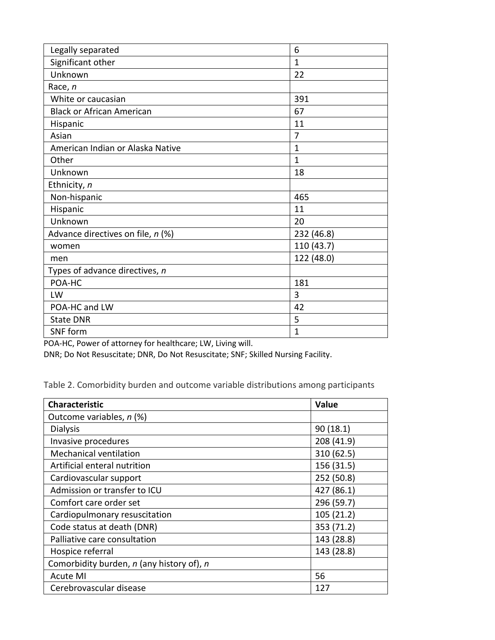| Legally separated                 | 6            |
|-----------------------------------|--------------|
| Significant other                 | 1            |
| Unknown                           | 22           |
| Race, n                           |              |
| White or caucasian                | 391          |
| <b>Black or African American</b>  | 67           |
| Hispanic                          | 11           |
| Asian                             | 7            |
| American Indian or Alaska Native  | $\mathbf{1}$ |
| Other                             | $\mathbf{1}$ |
| Unknown                           | 18           |
| Ethnicity, n                      |              |
| Non-hispanic                      | 465          |
| Hispanic                          | 11           |
| Unknown                           | 20           |
| Advance directives on file, n (%) | 232 (46.8)   |
| women                             | 110 (43.7)   |
| men                               | 122 (48.0)   |
| Types of advance directives, n    |              |
| POA-HC                            | 181          |
| LW                                | 3            |
| POA-HC and LW                     | 42           |
| <b>State DNR</b>                  | 5            |
| SNF form                          | $\mathbf{1}$ |

POA-HC, Power of attorney for healthcare; LW, Living will.

DNR; Do Not Resuscitate; DNR, Do Not Resuscitate; SNF; Skilled Nursing Facility.

Table 2. Comorbidity burden and outcome variable distributions among participants

| <b>Characteristic</b>                     | <b>Value</b> |
|-------------------------------------------|--------------|
| Outcome variables, n (%)                  |              |
| <b>Dialysis</b>                           | 90(18.1)     |
| Invasive procedures                       | 208 (41.9)   |
| <b>Mechanical ventilation</b>             | 310 (62.5)   |
| Artificial enteral nutrition              | 156 (31.5)   |
| Cardiovascular support                    | 252 (50.8)   |
| Admission or transfer to ICU              | 427 (86.1)   |
| Comfort care order set                    | 296 (59.7)   |
| Cardiopulmonary resuscitation             | 105(21.2)    |
| Code status at death (DNR)                | 353 (71.2)   |
| Palliative care consultation              | 143 (28.8)   |
| Hospice referral                          | 143 (28.8)   |
| Comorbidity burden, n (any history of), n |              |
| Acute MI                                  | 56           |
| Cerebrovascular disease                   | 127          |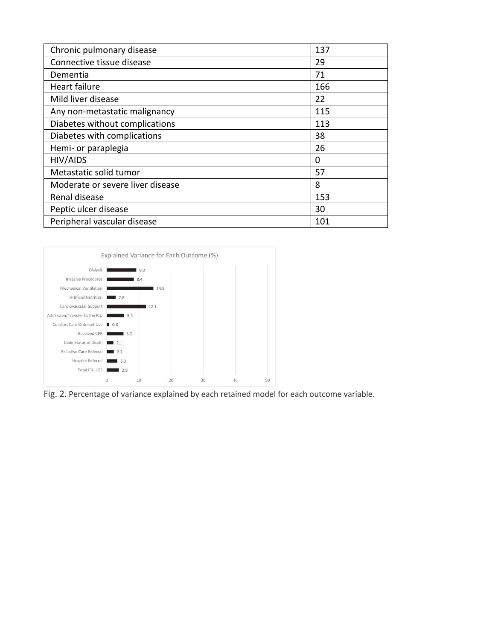| Chronic pulmonary disease        | 137 |
|----------------------------------|-----|
| Connective tissue disease        | 29  |
| Dementia                         | 71  |
| Heart failure                    | 166 |
| Mild liver disease               | 22  |
| Any non-metastatic malignancy    | 115 |
| Diabetes without complications   | 113 |
| Diabetes with complications      | 38  |
| Hemi- or paraplegia              | 26  |
| HIV/AIDS                         | 0   |
| Metastatic solid tumor           | 57  |
| Moderate or severe liver disease | 8   |
| Renal disease                    | 153 |
| Peptic ulcer disease             | 30  |
| Peripheral vascular disease      | 101 |



Fig. 2. Percentage of variance explained by each retained model for each outcome variable.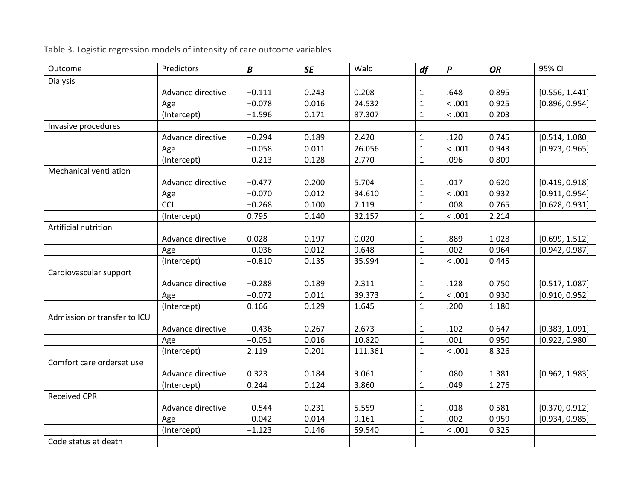| Outcome                       | Predictors        | $\boldsymbol{B}$ | <b>SE</b> | Wald    | df           | $\boldsymbol{P}$ | OR    | 95% CI         |
|-------------------------------|-------------------|------------------|-----------|---------|--------------|------------------|-------|----------------|
| <b>Dialysis</b>               |                   |                  |           |         |              |                  |       |                |
|                               | Advance directive | $-0.111$         | 0.243     | 0.208   | 1            | .648             | 0.895 | [0.556, 1.441] |
|                               | Age               | $-0.078$         | 0.016     | 24.532  | $\mathbf{1}$ | < .001           | 0.925 | [0.896, 0.954] |
|                               | (Intercept)       | $-1.596$         | 0.171     | 87.307  | $\mathbf{1}$ | < .001           | 0.203 |                |
| Invasive procedures           |                   |                  |           |         |              |                  |       |                |
|                               | Advance directive | $-0.294$         | 0.189     | 2.420   | $\mathbf{1}$ | .120             | 0.745 | [0.514, 1.080] |
|                               | Age               | $-0.058$         | 0.011     | 26.056  | $\mathbf{1}$ | < .001           | 0.943 | [0.923, 0.965] |
|                               | (Intercept)       | $-0.213$         | 0.128     | 2.770   | 1            | .096             | 0.809 |                |
| <b>Mechanical ventilation</b> |                   |                  |           |         |              |                  |       |                |
|                               | Advance directive | $-0.477$         | 0.200     | 5.704   | 1            | .017             | 0.620 | [0.419, 0.918] |
|                               | Age               | $-0.070$         | 0.012     | 34.610  | $\mathbf{1}$ | < .001           | 0.932 | [0.911, 0.954] |
|                               | CCI               | $-0.268$         | 0.100     | 7.119   | $\mathbf{1}$ | .008             | 0.765 | [0.628, 0.931] |
|                               | (Intercept)       | 0.795            | 0.140     | 32.157  | $\mathbf{1}$ | < .001           | 2.214 |                |
| Artificial nutrition          |                   |                  |           |         |              |                  |       |                |
|                               | Advance directive | 0.028            | 0.197     | 0.020   | $\mathbf{1}$ | .889             | 1.028 | [0.699, 1.512] |
|                               | Age               | $-0.036$         | 0.012     | 9.648   | $\mathbf{1}$ | .002             | 0.964 | [0.942, 0.987] |
|                               | (Intercept)       | $-0.810$         | 0.135     | 35.994  | $\mathbf{1}$ | < .001           | 0.445 |                |
| Cardiovascular support        |                   |                  |           |         |              |                  |       |                |
|                               | Advance directive | $-0.288$         | 0.189     | 2.311   | $\mathbf{1}$ | .128             | 0.750 | [0.517, 1.087] |
|                               | Age               | $-0.072$         | 0.011     | 39.373  | $\mathbf{1}$ | < .001           | 0.930 | [0.910, 0.952] |
|                               | (Intercept)       | 0.166            | 0.129     | 1.645   | 1            | .200             | 1.180 |                |
| Admission or transfer to ICU  |                   |                  |           |         |              |                  |       |                |
|                               | Advance directive | $-0.436$         | 0.267     | 2.673   | 1            | .102             | 0.647 | [0.383, 1.091] |
|                               | Age               | $-0.051$         | 0.016     | 10.820  | $\mathbf{1}$ | .001             | 0.950 | [0.922, 0.980] |
|                               | (Intercept)       | 2.119            | 0.201     | 111.361 | $\mathbf{1}$ | < .001           | 8.326 |                |
| Comfort care orderset use     |                   |                  |           |         |              |                  |       |                |
|                               | Advance directive | 0.323            | 0.184     | 3.061   | $\mathbf{1}$ | .080             | 1.381 | [0.962, 1.983] |
|                               | (Intercept)       | 0.244            | 0.124     | 3.860   | $\mathbf{1}$ | .049             | 1.276 |                |
| <b>Received CPR</b>           |                   |                  |           |         |              |                  |       |                |
|                               | Advance directive | $-0.544$         | 0.231     | 5.559   | $\mathbf{1}$ | .018             | 0.581 | [0.370, 0.912] |
|                               | Age               | $-0.042$         | 0.014     | 9.161   | $\mathbf{1}$ | .002             | 0.959 | [0.934, 0.985] |
|                               | (Intercept)       | $-1.123$         | 0.146     | 59.540  | $\mathbf{1}$ | < .001           | 0.325 |                |
| Code status at death          |                   |                  |           |         |              |                  |       |                |

Table 3. Logistic regression models of intensity of care outcome variables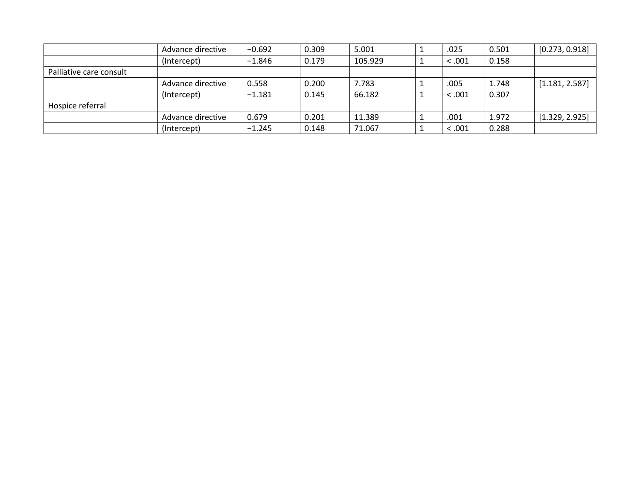|                         | Advance directive | $-0.692$ | 0.309 | 5.001   | .025    | 0.501 | [0.273, 0.918] |
|-------------------------|-------------------|----------|-------|---------|---------|-------|----------------|
|                         | (Intercept)       | $-1.846$ | 0.179 | 105.929 | < .001  | 0.158 |                |
| Palliative care consult |                   |          |       |         |         |       |                |
|                         | Advance directive | 0.558    | 0.200 | 7.783   | .005    | 1.748 | [1.181, 2.587] |
|                         | (Intercept)       | $-1.181$ | 0.145 | 66.182  | < 0.001 | 0.307 |                |
| Hospice referral        |                   |          |       |         |         |       |                |
|                         | Advance directive | 0.679    | 0.201 | 11.389  | .001    | 1.972 | [1.329, 2.925] |
|                         | (Intercept)       | $-1.245$ | 0.148 | 71.067  | < .001  | 0.288 |                |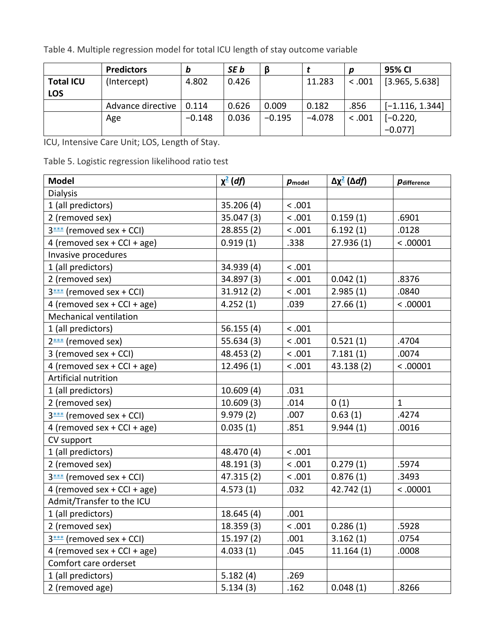Table 4. Multiple regression model for total ICU length of stay outcome variable

|                  | <b>Predictors</b> | b              | SE b  |          |          | D      | 95% CI            |
|------------------|-------------------|----------------|-------|----------|----------|--------|-------------------|
| <b>Total ICU</b> | (Intercept)       | 4.802<br>0.426 |       |          | 11.283   |        | [3.965, 5.638]    |
| <b>LOS</b>       |                   |                |       |          |          |        |                   |
|                  | Advance directive | 0.114          | 0.626 | 0.009    | 0.182    | .856   | $[-1.116, 1.344]$ |
|                  | Age               | $-0.148$       | 0.036 | $-0.195$ | $-4.078$ | < .001 | $[-0.220,$        |
|                  |                   |                |       |          |          |        | $-0.077$ ]        |

ICU, Intensive Care Unit; LOS, Length of Stay.

Table 5. Logistic regression likelihood ratio test

| <b>Model</b>                  | $\chi^2$ (df) | $p_{model}$ | Δχ <sup>2</sup> (Δdf) | <i><b>Pdifference</b></i> |
|-------------------------------|---------------|-------------|-----------------------|---------------------------|
| <b>Dialysis</b>               |               |             |                       |                           |
| 1 (all predictors)            | 35.206 (4)    | $<.001$     |                       |                           |
| 2 (removed sex)               | 35.047 (3)    | < .001      | 0.159(1)              | .6901                     |
| 3*** (removed sex + CCI)      | 28.855(2)     | < .001      | 6.192(1)              | .0128                     |
| 4 (removed sex + CCI + age)   | 0.919(1)      | .338        | 27.936(1)             | < .00001                  |
| Invasive procedures           |               |             |                       |                           |
| 1 (all predictors)            | 34.939 (4)    | < .001      |                       |                           |
| 2 (removed sex)               | 34.897 (3)    | < .001      | 0.042(1)              | .8376                     |
| 3*** (removed sex + CCI)      | 31.912 (2)    | < .001      | 2.985(1)              | .0840                     |
| 4 (removed sex + CCI + age)   | 4.252(1)      | .039        | 27.66(1)              | < .00001                  |
| <b>Mechanical ventilation</b> |               |             |                       |                           |
| 1 (all predictors)            | 56.155(4)     | < .001      |                       |                           |
| 2*** (removed sex)            | 55.634(3)     | < .001      | 0.521(1)              | .4704                     |
| 3 (removed sex + CCI)         | 48.453 (2)    | < .001      | 7.181(1)              | .0074                     |
| 4 (removed sex + CCI + age)   | 12.496(1)     | < .001      | 43.138 (2)            | < .00001                  |
| Artificial nutrition          |               |             |                       |                           |
| 1 (all predictors)            | 10.609(4)     | .031        |                       |                           |
| 2 (removed sex)               | 10.609(3)     | .014        | 0(1)                  | $\mathbf{1}$              |
| 3*** (removed sex + CCI)      | 9.979(2)      | .007        | 0.63(1)               | .4274                     |
| 4 (removed sex + CCI + age)   | 0.035(1)      | .851        | 9.944(1)              | .0016                     |
| CV support                    |               |             |                       |                           |
| 1 (all predictors)            | 48.470 (4)    | < .001      |                       |                           |
| 2 (removed sex)               | 48.191 (3)    | < .001      | 0.279(1)              | .5974                     |
| $3***$ (removed sex + CCI)    | 47.315 (2)    | < .001      | 0.876(1)              | .3493                     |
| 4 (removed sex + CCI + age)   | 4.573(1)      | .032        | 42.742 (1)            | < .00001                  |
| Admit/Transfer to the ICU     |               |             |                       |                           |
| 1 (all predictors)            | 18.645(4)     | .001        |                       |                           |
| 2 (removed sex)               | 18.359(3)     | < .001      | 0.286(1)              | .5928                     |
| 3*** (removed sex + CCI)      | 15.197(2)     | .001        | 3.162(1)              | .0754                     |
| 4 (removed sex + CCI + age)   | 4.033(1)      | .045        | 11.164(1)             | .0008                     |
| Comfort care orderset         |               |             |                       |                           |
| 1 (all predictors)            | 5.182(4)      | .269        |                       |                           |
| 2 (removed age)               | 5.134(3)      | .162        | 0.048(1)              | .8266                     |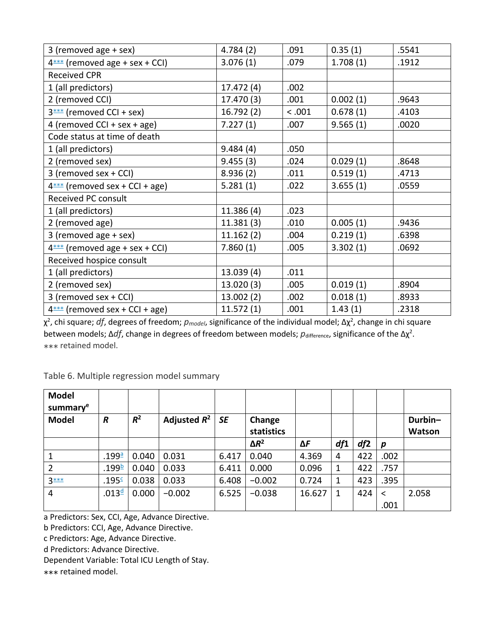| 3 (removed age + sex)            | 4.784(2)   | .091   | 0.35(1)  | .5541 |
|----------------------------------|------------|--------|----------|-------|
| $4***$ (removed age + sex + CCI) | 3.076(1)   | .079   | 1.708(1) | .1912 |
| <b>Received CPR</b>              |            |        |          |       |
| 1 (all predictors)               | 17.472 (4) | .002   |          |       |
| 2 (removed CCI)                  | 17.470 (3) | .001   | 0.002(1) | .9643 |
| $3***$ (removed CCI + sex)       | 16.792(2)  | < .001 | 0.678(1) | .4103 |
| 4 (removed CCI + sex + age)      | 7.227(1)   | .007   | 9.565(1) | .0020 |
| Code status at time of death     |            |        |          |       |
| 1 (all predictors)               | 9.484(4)   | .050   |          |       |
| 2 (removed sex)                  | 9.455(3)   | .024   | 0.029(1) | .8648 |
| 3 (removed sex + CCI)            | 8.936(2)   | .011   | 0.519(1) | .4713 |
| $4***$ (removed sex + CCI + age) | 5.281(1)   | .022   | 3.655(1) | .0559 |
| Received PC consult              |            |        |          |       |
| 1 (all predictors)               | 11.386(4)  | .023   |          |       |
| 2 (removed age)                  | 11.381(3)  | .010   | 0.005(1) | .9436 |
| 3 (removed age + sex)            | 11.162(2)  | .004   | 0.219(1) | .6398 |
| $4***$ (removed age + sex + CCI) | 7.860(1)   | .005   | 3.302(1) | .0692 |
| Received hospice consult         |            |        |          |       |
| 1 (all predictors)               | 13.039(4)  | .011   |          |       |
| 2 (removed sex)                  | 13.020(3)  | .005   | 0.019(1) | .8904 |
| 3 (removed sex + CCI)            | 13.002(2)  | .002   | 0.018(1) | .8933 |
| $4***$ (removed sex + CCI + age) | 11.572(1)  | .001   | 1.43(1)  | .2318 |

 $\chi^2$ , chi square; *df*, degrees of freedom;  $p_{model}$ , significance of the individual model; Δχ<sup>2</sup>, change in chi square between models;  $\Delta df$ , change in degrees of freedom between models;  $p_{\text{difference}}$ , significance of the  $\Delta \chi^2$ . ⁎⁎⁎ retained model.

Table 6. Multiple regression model summary

| <b>Model</b><br>summary <sup>e</sup> |                   |       |                |           |                      |        |     |     |                  |                   |
|--------------------------------------|-------------------|-------|----------------|-----------|----------------------|--------|-----|-----|------------------|-------------------|
| <b>Model</b>                         | R                 | $R^2$ | Adjusted $R^2$ | <b>SE</b> | Change<br>statistics |        |     |     |                  | Durbin-<br>Watson |
|                                      |                   |       |                |           | $\Delta R^2$         | ΔF     | df1 | df2 | $\boldsymbol{p}$ |                   |
|                                      | .199ª             | 0.040 | 0.031          | 6.417     | 0.040                | 4.369  | 4   | 422 | .002             |                   |
| $\overline{2}$                       | .199 <sup>b</sup> | 0.040 | 0.033          | 6.411     | 0.000                | 0.096  | 1   | 422 | .757             |                   |
| $3***$                               | .195 <sup>c</sup> | 0.038 | 0.033          | 6.408     | $-0.002$             | 0.724  | 1   | 423 | .395             |                   |
| 4                                    | .013 <sup>d</sup> | 0.000 | $-0.002$       | 6.525     | $-0.038$             | 16.627 | 1   | 424 | $\prec$          | 2.058             |
|                                      |                   |       |                |           |                      |        |     |     | .001             |                   |

a Predictors: Sex, CCI, Age, Advance Directive.

b Predictors: CCI, Age, Advance Directive.

c Predictors: Age, Advance Directive.

d Predictors: Advance Directive.

Dependent Variable: Total ICU Length of Stay.

⁎⁎⁎ retained model.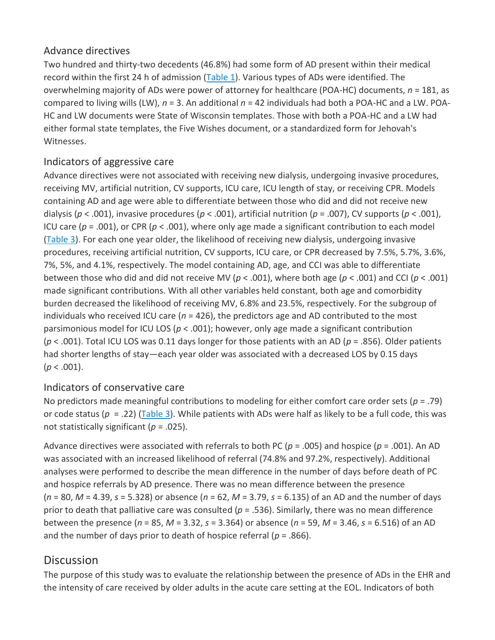#### Advance directives

Two hundred and thirty-two decedents (46.8%) had some form of AD present within their medical record within the first 24 h of admission [\(Table 1\)](https://www.sciencedirect.com/science/article/pii/S0147956319304844?via%3Dihub#tbl0001). Various types of ADs were identified. The overwhelming majority of ADs were power of attorney for healthcare (POA-HC) documents, *n* = 181, as compared to living wills (LW), *n* = 3. An additional *n* = 42 individuals had both a POA-HC and a LW. POA-HC and LW documents were State of Wisconsin templates. Those with both a POA-HC and a LW had either formal state templates, the Five Wishes document, or a standardized form for Jehovah's Witnesses.

#### Indicators of aggressive care

Advance directives were not associated with receiving new dialysis, undergoing invasive procedures, receiving MV, artificial nutrition, CV supports, ICU care, ICU length of stay, or receiving CPR. Models containing AD and age were able to differentiate between those who did and did not receive new dialysis (*p* < .001), invasive procedures (*p* < .001), artificial nutrition (*p* = .007), CV supports (*p* < .001), ICU care (*p* = .001), or CPR (*p* < .001), where only age made a significant contribution to each model [\(Table 3\)](https://www.sciencedirect.com/science/article/pii/S0147956319304844?via%3Dihub#tbl0003). For each one year older, the likelihood of receiving new dialysis, undergoing invasive procedures, receiving artificial nutrition, CV supports, ICU care, or CPR decreased by 7.5%, 5.7%, 3.6%, 7%, 5%, and 4.1%, respectively. The model containing AD, age, and CCI was able to differentiate between those who did and did not receive MV (*p* < .001), where both age (*p* < .001) and CCI (*p* < .001) made significant contributions. With all other variables held constant, both age and comorbidity burden decreased the likelihood of receiving MV, 6.8% and 23.5%, respectively. For the subgroup of individuals who received ICU care (*n* = 426), the predictors age and AD contributed to the most parsimonious model for ICU LOS (*p* < .001); however, only age made a significant contribution (*p* < .001). Total ICU LOS was 0.11 days longer for those patients with an AD (*p* = .856). Older patients had shorter lengths of stay—each year older was associated with a decreased LOS by 0.15 days  $(p < .001)$ .

#### Indicators of conservative care

No predictors made meaningful contributions to modeling for either comfort care order sets (*p* = .79) or code status (*p*  = .22) ([Table 3\)](https://www.sciencedirect.com/science/article/pii/S0147956319304844?via%3Dihub#tbl0003). While patients with ADs were half as likely to be a full code, this was not statistically significant (*p* = .025).

Advance directives were associated with referrals to both PC (*p* = .005) and hospice (*p* = .001). An AD was associated with an increased likelihood of referral (74.8% and 97.2%, respectively). Additional analyses were performed to describe the mean difference in the number of days before death of PC and hospice referrals by AD presence. There was no mean difference between the presence (*n* = 80, *M* = 4.39, *s* = 5.328) or absence (*n* = 62, *M* = 3.79, *s* = 6.135) of an AD and the number of days prior to death that palliative care was consulted (*p* = .536). Similarly, there was no mean difference between the presence (*n* = 85, *M* = 3.32, *s* = 3.364) or absence (*n* = 59, *M* = 3.46, *s* = 6.516) of an AD and the number of days prior to death of hospice referral (*p* = .866).

# **Discussion**

The purpose of this study was to evaluate the relationship between the presence of ADs in the EHR and the intensity of care received by older adults in the acute care setting at the EOL. Indicators of both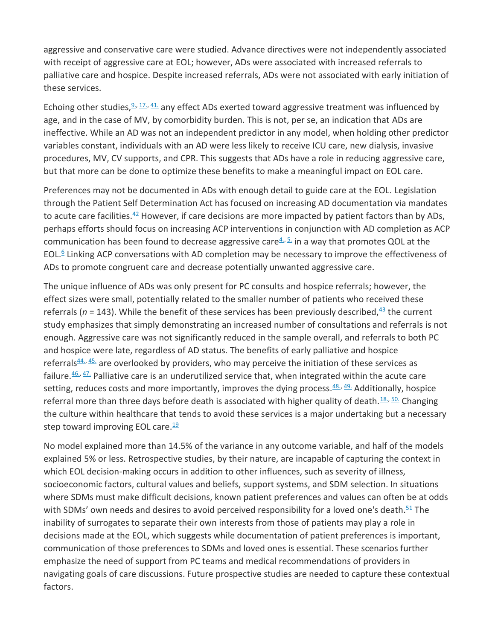aggressive and conservative care were studied. Advance directives were not independently associated with receipt of aggressive care at EOL; however, ADs were associated with increased referrals to palliative care and hospice. Despite increased referrals, ADs were not associated with early initiation of these services.

Echoing other studies,  $2, 17, 41$  any effect ADs exerted toward aggressive treatment was influenced by age, and in the case of MV, by comorbidity burden. This is not, per se, an indication that ADs are ineffective. While an AD was not an independent predictor in any model, when holding other predictor variables constant, individuals with an AD were less likely to receive ICU care, new dialysis, invasive procedures, MV, CV supports, and CPR. This suggests that ADs have a role in reducing aggressive care, but that more can be done to optimize these benefits to make a meaningful impact on EOL care.

Preferences may not be documented in ADs with enough detail to guide care at the EOL. Legislation through the Patient Self Determination Act has focused on increasing AD documentation via mandates to acute care facilities. $42$  However, if care decisions are more impacted by patient factors than by ADs, perhaps efforts should focus on increasing ACP interventions in conjunction with AD completion as ACP communication has been found to decrease aggressive care $4.5.$  $4.5.$  in a way that promotes QOL at the EOL.<sup>[6](https://www.sciencedirect.com/science/article/pii/S0147956319304844?via%3Dihub#bib0006)</sup> Linking ACP conversations with AD completion may be necessary to improve the effectiveness of ADs to promote congruent care and decrease potentially unwanted aggressive care.

The unique influence of ADs was only present for PC consults and hospice referrals; however, the effect sizes were small, potentially related to the smaller number of patients who received these referrals ( $n = 143$  $n = 143$ ). While the benefit of these services has been previously described,  $43$  the current study emphasizes that simply demonstrating an increased number of consultations and referrals is not enough. Aggressive care was not significantly reduced in the sample overall, and referrals to both PC and hospice were late, regardless of AD status. The benefits of early palliative and hospice referrals $44.$ ,  $45.$  are overlooked by providers, who may perceive the initiation of these services as failure. $46.$ ,  $47.$  Palliative care is an underutilized service that, when integrated within the acute care setting, reduces costs and more importantly, improves the dying process. $48.$ ,  $49.$  Additionally, hospice referral more than three days before death is associated with higher quality of death.  $18.50$ . Changing the culture within healthcare that tends to avoid these services is a major undertaking but a necessary step toward improving EOL care. $\frac{19}{12}$  $\frac{19}{12}$  $\frac{19}{12}$ 

No model explained more than 14.5% of the variance in any outcome variable, and half of the models explained 5% or less. Retrospective studies, by their nature, are incapable of capturing the context in which EOL decision-making occurs in addition to other influences, such as severity of illness, socioeconomic factors, cultural values and beliefs, support systems, and SDM selection. In situations where SDMs must make difficult decisions, known patient preferences and values can often be at odds with SDMs' own needs and desires to avoid perceived responsibility for a loved one's death.<sup>[51](https://www.sciencedirect.com/science/article/pii/S0147956319304844?via%3Dihub#bib0051)</sup> The inability of surrogates to separate their own interests from those of patients may play a role in decisions made at the EOL, which suggests while documentation of patient preferences is important, communication of those preferences to SDMs and loved ones is essential. These scenarios further emphasize the need of support from PC teams and medical recommendations of providers in navigating goals of care discussions. Future prospective studies are needed to capture these contextual factors.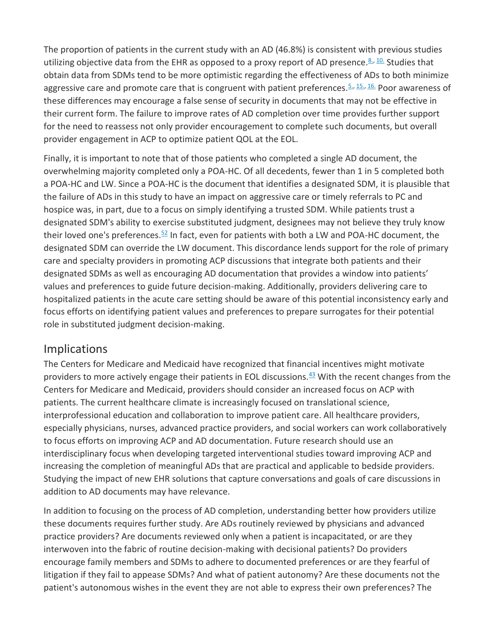The proportion of patients in the current study with an AD (46.8%) is consistent with previous studies utilizing objective data from the EHR as opposed to a proxy report of AD presence.  $8.40$  Studies that obtain data from SDMs tend to be more optimistic regarding the effectiveness of ADs to both minimize aggressive care and promote care that is congruent with patient preferences.  $5.$ , 1[5.,](https://www.sciencedirect.com/science/article/pii/S0147956319304844?via%3Dihub#bib0005) [16.](https://www.sciencedirect.com/science/article/pii/S0147956319304844?via%3Dihub#bib0016) Poor awareness of these differences may encourage a false sense of security in documents that may not be effective in their current form. The failure to improve rates of AD completion over time provides further support for the need to reassess not only provider encouragement to complete such documents, but overall provider engagement in ACP to optimize patient QOL at the EOL.

Finally, it is important to note that of those patients who completed a single AD document, the overwhelming majority completed only a POA-HC. Of all decedents, fewer than 1 in 5 completed both a POA-HC and LW. Since a POA-HC is the document that identifies a designated SDM, it is plausible that the failure of ADs in this study to have an impact on aggressive care or timely referrals to PC and hospice was, in part, due to a focus on simply identifying a trusted SDM. While patients trust a designated SDM's ability to exercise substituted judgment, designees may not believe they truly know their loved one's preferences. $52$  In fact, even for patients with both a LW and POA-HC document, the designated SDM can override the LW document. This discordance lends support for the role of primary care and specialty providers in promoting ACP discussions that integrate both patients and their designated SDMs as well as encouraging AD documentation that provides a window into patients' values and preferences to guide future decision-making. Additionally, providers delivering care to hospitalized patients in the acute care setting should be aware of this potential inconsistency early and focus efforts on identifying patient values and preferences to prepare surrogates for their potential role in substituted judgment decision-making.

# **Implications**

The Centers for Medicare and Medicaid have recognized that financial incentives might motivate providers to more actively engage their patients in EOL discussions. $43$  With the recent changes from the Centers for Medicare and Medicaid, providers should consider an increased focus on ACP with patients. The current healthcare climate is increasingly focused on translational science, interprofessional education and collaboration to improve patient care. All healthcare providers, especially physicians, nurses, advanced practice providers, and social workers can work collaboratively to focus efforts on improving ACP and AD documentation. Future research should use an interdisciplinary focus when developing targeted interventional studies toward improving ACP and increasing the completion of meaningful ADs that are practical and applicable to bedside providers. Studying the impact of new EHR solutions that capture conversations and goals of care discussions in addition to AD documents may have relevance.

In addition to focusing on the process of AD completion, understanding better how providers utilize these documents requires further study. Are ADs routinely reviewed by physicians and advanced practice providers? Are documents reviewed only when a patient is incapacitated, or are they interwoven into the fabric of routine decision-making with decisional patients? Do providers encourage family members and SDMs to adhere to documented preferences or are they fearful of litigation if they fail to appease SDMs? And what of patient autonomy? Are these documents not the patient's autonomous wishes in the event they are not able to express their own preferences? The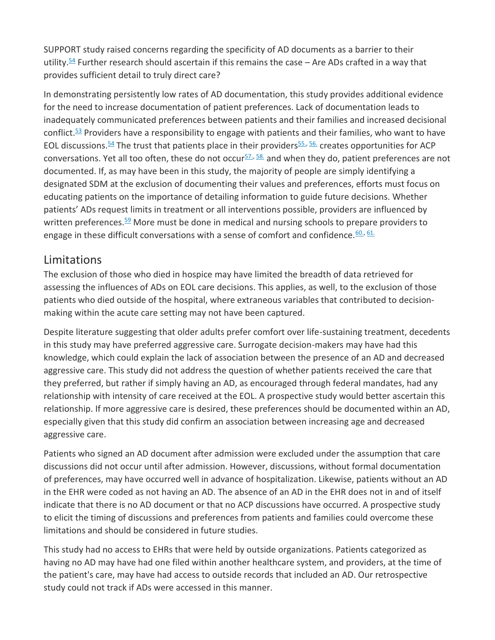SUPPORT study raised concerns regarding the specificity of AD documents as a barrier to their utility.<sup>[54](https://www.sciencedirect.com/science/article/pii/S0147956319304844?via%3Dihub#bib0054)</sup> Further research should ascertain if this remains the case – Are ADs crafted in a way that provides sufficient detail to truly direct care?

In demonstrating persistently low rates of AD documentation, this study provides additional evidence for the need to increase documentation of patient preferences. Lack of documentation leads to inadequately communicated preferences between patients and their families and increased decisional conflict. $53$  Providers have a responsibility to engage with patients and their families, who want to have EOL discussions.<sup>[54](https://www.sciencedirect.com/science/article/pii/S0147956319304844?via%3Dihub#bib0054)</sup> The trust that patients place in their providers<sup>[55.,](https://www.sciencedirect.com/science/article/pii/S0147956319304844?via%3Dihub#bib0055) 56</sup> creates opportunities for ACP conversations. Yet all too often, these do not occur $57.$ ,  $58.$  and when they do, patient preferences are not documented. If, as may have been in this study, the majority of people are simply identifying a designated SDM at the exclusion of documenting their values and preferences, efforts must focus on educating patients on the importance of detailing information to guide future decisions. Whether patients' ADs request limits in treatment or all interventions possible, providers are influenced by written preferences. $59$  More must be done in medical and nursing schools to prepare providers to engage in these difficult conversations with a sense of comfort and confidence.  $60.$ ,  $61.$ 

# Limitations

The exclusion of those who died in hospice may have limited the breadth of data retrieved for assessing the influences of ADs on EOL care decisions. This applies, as well, to the exclusion of those patients who died outside of the hospital, where extraneous variables that contributed to decisionmaking within the acute care setting may not have been captured.

Despite literature suggesting that older adults prefer comfort over life-sustaining treatment, decedents in this study may have preferred aggressive care. Surrogate decision-makers may have had this knowledge, which could explain the lack of association between the presence of an AD and decreased aggressive care. This study did not address the question of whether patients received the care that they preferred, but rather if simply having an AD, as encouraged through federal mandates, had any relationship with intensity of care received at the EOL. A prospective study would better ascertain this relationship. If more aggressive care is desired, these preferences should be documented within an AD, especially given that this study did confirm an association between increasing age and decreased aggressive care.

Patients who signed an AD document after admission were excluded under the assumption that care discussions did not occur until after admission. However, discussions, without formal documentation of preferences, may have occurred well in advance of hospitalization. Likewise, patients without an AD in the EHR were coded as not having an AD. The absence of an AD in the EHR does not in and of itself indicate that there is no AD document or that no ACP discussions have occurred. A prospective study to elicit the timing of discussions and preferences from patients and families could overcome these limitations and should be considered in future studies.

This study had no access to EHRs that were held by outside organizations. Patients categorized as having no AD may have had one filed within another healthcare system, and providers, at the time of the patient's care, may have had access to outside records that included an AD. Our retrospective study could not track if ADs were accessed in this manner.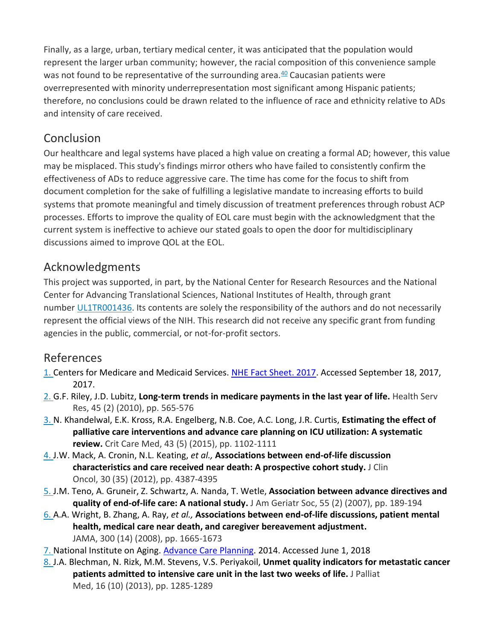Finally, as a large, urban, tertiary medical center, it was anticipated that the population would represent the larger urban community; however, the racial composition of this convenience sample was not found to be representative of the surrounding area. $40$  Caucasian patients were overrepresented with minority underrepresentation most significant among Hispanic patients; therefore, no conclusions could be drawn related to the influence of race and ethnicity relative to ADs and intensity of care received.

# Conclusion

Our healthcare and legal systems have placed a high value on creating a formal AD; however, this value may be misplaced. This study's findings mirror others who have failed to consistently confirm the effectiveness of ADs to reduce aggressive care. The time has come for the focus to shift from document completion for the sake of fulfilling a legislative mandate to increasing efforts to build systems that promote meaningful and timely discussion of treatment preferences through robust ACP processes. Efforts to improve the quality of EOL care must begin with the acknowledgment that the current system is ineffective to achieve our stated goals to open the door for multidisciplinary discussions aimed to improve QOL at the EOL.

# Acknowledgments

This project was supported, in part, by the National Center for Research Resources and the National Center for Advancing Translational Sciences, National Institutes of Health, through grant number [UL1TR001436.](https://www.sciencedirect.com/science/article/pii/S0147956319304844?via%3Dihub#gs0001) Its contents are solely the responsibility of the authors and do not necessarily represent the official views of the NIH. This research did not receive any specific grant from funding agencies in the public, commercial, or not-for-profit sectors.

## References

- [1.](https://www.sciencedirect.com/science/article/pii/S0147956319304844?via%3Dihub#bbib0001) Centers for Medicare and Medicaid Services. [NHE Fact Sheet. 2017.](https://www.cms.gov/Research-Statistics-Data-and-Systems/Statistics-Trends-and-Reports/NationalHealthExpendData/NHE-Fact-Sheet.html) Accessed September 18, 2017, 2017.
- [2.](https://www.sciencedirect.com/science/article/pii/S0147956319304844?via%3Dihub#bbib0002) G.F. Riley, J.D. Lubitz, **Long-term trends in medicare payments in the last year of life.** Health Serv Res, 45 (2) (2010), pp. 565-576
- [3.](https://www.sciencedirect.com/science/article/pii/S0147956319304844?via%3Dihub#bbib0003) N. Khandelwal, E.K. Kross, R.A. Engelberg, N.B. Coe, A.C. Long, J.R. Curtis, **Estimating the effect of palliative care interventions and advance care planning on ICU utilization: A systematic review.** Crit Care Med, 43 (5) (2015), pp. 1102-1111
- [4.](https://www.sciencedirect.com/science/article/pii/S0147956319304844?via%3Dihub#bbib0004) J.W. Mack, A. Cronin, N.L. Keating, *et al.,* **Associations between end-of-life discussion characteristics and care received near death: A prospective cohort study.** J Clin Oncol, 30 (35) (2012), pp. 4387-4395
- [5.](https://www.sciencedirect.com/science/article/pii/S0147956319304844?via%3Dihub#bbib0005) J.M. Teno, A. Gruneir, Z. Schwartz, A. Nanda, T. Wetle, **Association between advance directives and quality of end-of-life care: A national study.** J Am Geriatr Soc, 55 (2) (2007), pp. 189-194
- [6.](https://www.sciencedirect.com/science/article/pii/S0147956319304844?via%3Dihub#bbib0006) A.A. Wright, B. Zhang, A. Ray, *et al.,* **Associations between end-of-life discussions, patient mental health, medical care near death, and caregiver bereavement adjustment.**  JAMA, 300 (14) (2008), pp. 1665-1673
- [7.](https://www.sciencedirect.com/science/article/pii/S0147956319304844?via%3Dihub#bbib0007) National Institute on Aging. [Advance Care Planning.](https://www.nia.nih.gov/health/publication/advance-care-planning) 2014. Accessed June 1, 2018
- [8.](https://www.sciencedirect.com/science/article/pii/S0147956319304844?via%3Dihub#bbib0008) J.A. Blechman, N. Rizk, M.M. Stevens, V.S. Periyakoil, **Unmet quality indicators for metastatic cancer patients admitted to intensive care unit in the last two weeks of life.** J Palliat Med, 16 (10) (2013), pp. 1285-1289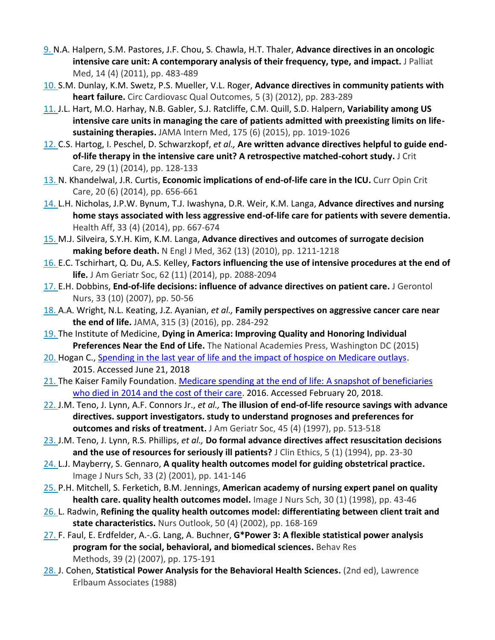- [9.](https://www.sciencedirect.com/science/article/pii/S0147956319304844?via%3Dihub#bbib0009) N.A. Halpern, S.M. Pastores, J.F. Chou, S. Chawla, H.T. Thaler, **Advance directives in an oncologic intensive care unit: A contemporary analysis of their frequency, type, and impact.** J Palliat Med, 14 (4) (2011), pp. 483-489
- [10.](https://www.sciencedirect.com/science/article/pii/S0147956319304844?via%3Dihub#bbib0010) S.M. Dunlay, K.M. Swetz, P.S. Mueller, V.L. Roger, **Advance directives in community patients with heart failure.** Circ Cardiovasc Qual Outcomes, 5 (3) (2012), pp. 283-289
- [11.](https://www.sciencedirect.com/science/article/pii/S0147956319304844?via%3Dihub#bbib0011) J.L. Hart, M.O. Harhay, N.B. Gabler, S.J. Ratcliffe, C.M. Quill, S.D. Halpern, **Variability among US intensive care units in managing the care of patients admitted with preexisting limits on lifesustaining therapies.** JAMA Intern Med, 175 (6) (2015), pp. 1019-1026
- [12.](https://www.sciencedirect.com/science/article/pii/S0147956319304844?via%3Dihub#bbib0012) C.S. Hartog, I. Peschel, D. Schwarzkopf, *et al.,* **Are written advance directives helpful to guide endof-life therapy in the intensive care unit? A retrospective matched-cohort study.** J Crit Care, 29 (1) (2014), pp. 128-133
- [13.](https://www.sciencedirect.com/science/article/pii/S0147956319304844?via%3Dihub#bbib0013) N. Khandelwal, J.R. Curtis, **Economic implications of end-of-life care in the ICU.** Curr Opin Crit Care, 20 (6) (2014), pp. 656-661
- [14.](https://www.sciencedirect.com/science/article/pii/S0147956319304844?via%3Dihub#bbib0014) L.H. Nicholas, J.P.W. Bynum, T.J. Iwashyna, D.R. Weir, K.M. Langa, **Advance directives and nursing home stays associated with less aggressive end-of-life care for patients with severe dementia.**  Health Aff, 33 (4) (2014), pp. 667-674
- [15.](https://www.sciencedirect.com/science/article/pii/S0147956319304844?via%3Dihub#bbib0015) M.J. Silveira, S.Y.H. Kim, K.M. Langa, **Advance directives and outcomes of surrogate decision making before death.** N Engl J Med, 362 (13) (2010), pp. 1211-1218
- [16.](https://www.sciencedirect.com/science/article/pii/S0147956319304844?via%3Dihub#bbib0016) E.C. Tschirhart, Q. Du, A.S. Kelley, **Factors influencing the use of intensive procedures at the end of life.** J Am Geriatr Soc, 62 (11) (2014), pp. 2088-2094
- [17.](https://www.sciencedirect.com/science/article/pii/S0147956319304844?via%3Dihub#bbib0017) E.H. Dobbins, **End-of-life decisions: influence of advance directives on patient care.** J Gerontol Nurs, 33 (10) (2007), pp. 50-56
- [18.](https://www.sciencedirect.com/science/article/pii/S0147956319304844?via%3Dihub#bbib0018) A.A. Wright, N.L. Keating, J.Z. Ayanian, *et al.,* **Family perspectives on aggressive cancer care near the end of life.** JAMA, 315 (3) (2016), pp. 284-292
- [19.](https://www.sciencedirect.com/science/article/pii/S0147956319304844?via%3Dihub#bbib0019) The Institute of Medicine, **Dying in America: Improving Quality and Honoring Individual Preferences Near the End of Life.** The National Academies Press, Washington DC (2015)
- [20.](https://www.sciencedirect.com/science/article/pii/S0147956319304844?via%3Dihub#bbib0020) Hogan C., [Spending in the last year of life and the impact of hospice on Medicare outlays.](http://www.medpac.gov/docs/default-source/contractor-reports/spending-in-the-last-year-of-life-and-the-impact-of-hospice-on-medicare-outlays-updated-august-2015-.pdf?sfvrsn=0) 2015. Accessed June 21, 2018
- [21.](https://www.sciencedirect.com/science/article/pii/S0147956319304844?via%3Dihub#bbib0021) The Kaiser Family Foundation. Medicare spending at the end of life: A snapshot of beneficiaries who died in [2014 and the cost of their care.](https://www.kff.org/medicare/issue-brief/medicare-spending-at-the-end-of-life/) 2016. Accessed February 20, 2018.
- [22.](https://www.sciencedirect.com/science/article/pii/S0147956319304844?via%3Dihub#bbib0022) J.M. Teno, J. Lynn, A.F. Connors Jr., *et al.,* **The illusion of end-of-life resource savings with advance directives. support investigators. study to understand prognoses and preferences for outcomes and risks of treatment.** J Am Geriatr Soc, 45 (4) (1997), pp. 513-518
- [23.](https://www.sciencedirect.com/science/article/pii/S0147956319304844?via%3Dihub#bbib0023) J.M. Teno, J. Lynn, R.S. Phillips, *et al.,* **Do formal advance directives affect resuscitation decisions and the use of resources for seriously ill patients?** J Clin Ethics, 5 (1) (1994), pp. 23-30
- [24.](https://www.sciencedirect.com/science/article/pii/S0147956319304844?via%3Dihub#bbib0024) L.J. Mayberry, S. Gennaro, **A quality health outcomes model for guiding obstetrical practice.**  Image J Nurs Sch, 33 (2) (2001), pp. 141-146
- [25.](https://www.sciencedirect.com/science/article/pii/S0147956319304844?via%3Dihub#bbib0025) P.H. Mitchell, S. Ferketich, B.M. Jennings, **American academy of nursing expert panel on quality health care. quality health outcomes model.** Image J Nurs Sch, 30 (1) (1998), pp. 43-46
- [26.](https://www.sciencedirect.com/science/article/pii/S0147956319304844?via%3Dihub#bbib0026) L. Radwin, **Refining the quality health outcomes model: differentiating between client trait and state characteristics.** Nurs Outlook, 50 (4) (2002), pp. 168-169
- [27.](https://www.sciencedirect.com/science/article/pii/S0147956319304844?via%3Dihub#bbib0027) F. Faul, E. Erdfelder, A.-.G. Lang, A. Buchner, **G\*Power 3: A flexible statistical power analysis program for the social, behavioral, and biomedical sciences.** Behav Res Methods, 39 (2) (2007), pp. 175-191
- [28.](https://www.sciencedirect.com/science/article/pii/S0147956319304844?via%3Dihub#bbib0028) J. Cohen, Statistical Power Analysis for the Behavioral Health Sciences. (2nd ed), Lawrence Erlbaum Associates (1988)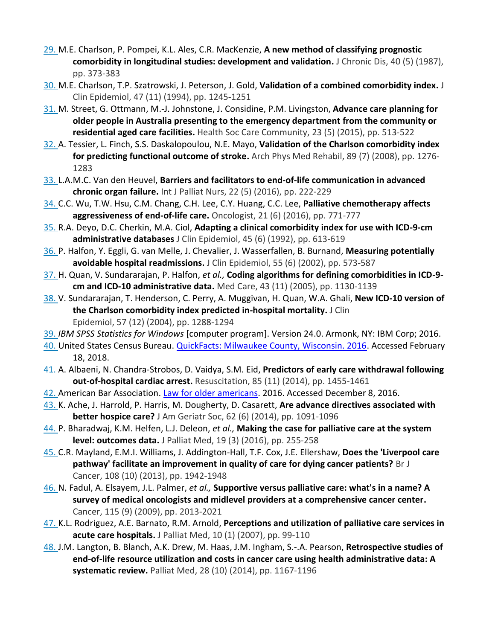- [29.](https://www.sciencedirect.com/science/article/pii/S0147956319304844?via%3Dihub#bbib0029) M.E. Charlson, P. Pompei, K.L. Ales, C.R. MacKenzie, **A new method of classifying prognostic comorbidity in longitudinal studies: development and validation.** J Chronic Dis, 40 (5) (1987), pp. 373-383
- [30.](https://www.sciencedirect.com/science/article/pii/S0147956319304844?via%3Dihub#bbib0030) M.E. Charlson, T.P. Szatrowski, J. Peterson, J. Gold, **Validation of a combined comorbidity index.** J Clin Epidemiol, 47 (11) (1994), pp. 1245-1251
- [31.](https://www.sciencedirect.com/science/article/pii/S0147956319304844?via%3Dihub#bbib0031) M. Street, G. Ottmann, M.-J. Johnstone, J. Considine, P.M. Livingston, **Advance care planning for older people in Australia presenting to the emergency department from the community or residential aged care facilities.** Health Soc Care Community, 23 (5) (2015), pp. 513-522
- [32.](https://www.sciencedirect.com/science/article/pii/S0147956319304844?via%3Dihub#bbib0032) A. Tessier, L. Finch, S.S. Daskalopoulou, N.E. Mayo, **Validation of the Charlson comorbidity index for predicting functional outcome of stroke.** Arch Phys Med Rehabil, 89 (7) (2008), pp. 1276- 1283
- [33.](https://www.sciencedirect.com/science/article/pii/S0147956319304844?via%3Dihub#bbib0033) L.A.M.C. Van den Heuvel, **Barriers and facilitators to end-of-life communication in advanced chronic organ failure.** Int J Palliat Nurs, 22 (5) (2016), pp. 222-229
- [34.](https://www.sciencedirect.com/science/article/pii/S0147956319304844?via%3Dihub#bbib0034) C.C. Wu, T.W. Hsu, C.M. Chang, C.H. Lee, C.Y. Huang, C.C. Lee, **Palliative chemotherapy affects aggressiveness of end-of-life care.** Oncologist, 21 (6) (2016), pp. 771-777
- [35.](https://www.sciencedirect.com/science/article/pii/S0147956319304844?via%3Dihub#bbib0035) R.A. Deyo, D.C. Cherkin, M.A. Ciol, **Adapting a clinical comorbidity index for use with ICD-9-cm administrative databases** J Clin Epidemiol, 45 (6) (1992), pp. 613-619
- [36.](https://www.sciencedirect.com/science/article/pii/S0147956319304844?via%3Dihub#bbib0036) P. Halfon, Y. Eggli, G. van Melle, J. Chevalier, J. Wasserfallen, B. Burnand, **Measuring potentially avoidable hospital readmissions.** J Clin Epidemiol, 55 (6) (2002), pp. 573-587
- [37.](https://www.sciencedirect.com/science/article/pii/S0147956319304844?via%3Dihub#bbib0037) H. Quan, V. Sundararajan, P. Halfon, *et al.,* **Coding algorithms for defining comorbidities in ICD-9 cm and ICD-10 administrative data.** Med Care, 43 (11) (2005), pp. 1130-1139
- [38.](https://www.sciencedirect.com/science/article/pii/S0147956319304844?via%3Dihub#bbib0038) V. Sundararajan, T. Henderson, C. Perry, A. Muggivan, H. Quan, W.A. Ghali, **New ICD-10 version of the Charlson comorbidity index predicted in-hospital mortality.** J Clin Epidemiol, 57 (12) (2004), pp. 1288-1294
- [39.](https://www.sciencedirect.com/science/article/pii/S0147956319304844?via%3Dihub#bbib0039) *IBM SPSS Statistics for Windows* [computer program]. Version 24.0. Armonk, NY: IBM Corp; 2016.
- [40.](https://www.sciencedirect.com/science/article/pii/S0147956319304844?via%3Dihub#bbib0040) United States Census Bureau. [QuickFacts: Milwaukee County, Wisconsin. 2016.](https://www.census.gov/quickfacts/fact/table/milwaukeecountywisconsin/PST045216) Accessed February 18, 2018.
- [41.](https://www.sciencedirect.com/science/article/pii/S0147956319304844?via%3Dihub#bbib0041) A. Albaeni, N. Chandra-Strobos, D. Vaidya, S.M. Eid, **Predictors of early care withdrawal following out-of-hospital cardiac arrest.** Resuscitation, 85 (11) (2014), pp. 1455-1461
- [42.](https://www.sciencedirect.com/science/article/pii/S0147956319304844?via%3Dihub#bbib0042) American Bar Association[. Law for older americans.](http://www.americanbar.org/groups/public_education/resources/law_issues_for_consumers/patient_self_determination_act.html) 2016. Accessed December 8, 2016.
- [43.](https://www.sciencedirect.com/science/article/pii/S0147956319304844?via%3Dihub#bbib0043) K. Ache, J. Harrold, P. Harris, M. Dougherty, D. Casarett, **Are advance directives associated with better hospice care?** J Am Geriatr Soc, 62 (6) (2014), pp. 1091-1096
- [44.](https://www.sciencedirect.com/science/article/pii/S0147956319304844?via%3Dihub#bbib0044) P. Bharadwaj, K.M. Helfen, L.J. Deleon, *et al.,* **Making the case for palliative care at the system level: outcomes data.** J Palliat Med, 19 (3) (2016), pp. 255-258
- [45.](https://www.sciencedirect.com/science/article/pii/S0147956319304844?via%3Dihub#bbib0045) C.R. Mayland, E.M.I. Williams, J. Addington-Hall, T.F. Cox, J.E. Ellershaw, **Does the 'Liverpool care pathway' facilitate an improvement in quality of care for dying cancer patients?** Br J Cancer, 108 (10) (2013), pp. 1942-1948
- [46.](https://www.sciencedirect.com/science/article/pii/S0147956319304844?via%3Dihub#bbib0046) N. Fadul, A. Elsayem, J.L. Palmer, *et al.,* **Supportive versus palliative care: what's in a name? A survey of medical oncologists and midlevel providers at a comprehensive cancer center.**  Cancer, 115 (9) (2009), pp. 2013-2021
- [47.](https://www.sciencedirect.com/science/article/pii/S0147956319304844?via%3Dihub#bbib0047) K.L. Rodriguez, A.E. Barnato, R.M. Arnold, **Perceptions and utilization of palliative care services in acute care hospitals.** J Palliat Med, 10 (1) (2007), pp. 99-110
- [48.](https://www.sciencedirect.com/science/article/pii/S0147956319304844?via%3Dihub#bbib0048) J.M. Langton, B. Blanch, A.K. Drew, M. Haas, J.M. Ingham, S.-.A. Pearson, **Retrospective studies of end-of-life resource utilization and costs in cancer care using health administrative data: A systematic review.** Palliat Med, 28 (10) (2014), pp. 1167-1196